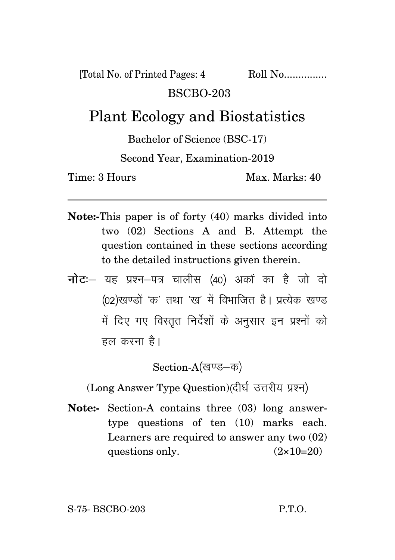[Total No. of Printed Pages: 4 Roll No...............

## BSCBO-203

## Plant Ecology and Biostatistics

Bachelor of Science (BSC-17)

## Second Year, Examination-2019

Time: 3 Hours Max. Marks: 40

- **Note:-**This paper is of forty (40) marks divided into two (02) Sections A and B. Attempt the question contained in these sections according to the detailed instructions given therein.
- **नोट:** यह प्रश्न-पत्र चालीस (40) अकों का है जो दो (02)खण्डों 'क' तथा 'ख' में विभाजित है। प्रत्येक खण्ड में दिए गए विस्तृत निर्देशों के अनुसार इन प्रश्नों को हल करना है।

Section-A(खण्ड-क)

(Long Answer Type Question)(दीर्घ उत्तरीय प्रश्न)

**Note:-** Section-A contains three (03) long answertype questions of ten (10) marks each. Learners are required to answer any two (02) questions only.  $(2 \times 10=20)$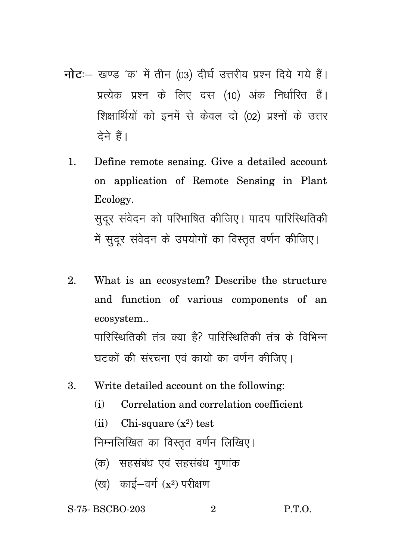- नोट: खण्ड 'क' में तीन (03) दीर्घ उत्तरीय प्रश्न दिये गये हैं। प्रत्येक प्रश्न के लिए दस (10) अंक निर्धारित हैं। शिक्षार्थियों को इनमें से केवल दो (02) प्रश्नों के उत्तर टेने हैं।
	- 1. Define remote sensing. Give a detailed account on application of Remote Sensing in Plant Ecology. सुदूर संवेदन को परिभाषित कीजिए। पादप पारिस्थितिकी में सुदूर संवेदन के उपयोगों का विस्तृत वर्णन कीजिए।
	- 2. What is an ecosystem? Describe the structure and function of various components of an ecosystem.. पारिस्थितिकी तंत्र क्या है? पारिस्थितिकी तंत्र के विभिन्न घटकों की संरचना एवं कायो का वर्णन कीजिए।
	- 3. Write detailed account on the following:
		- (i) Correlation and correlation coefficient
		- (ii) Chi-square  $(x^2)$  test

निम्नलिखित का विस्तृत वर्णन लिखिए।

- (क) सहसंबंध एवं सहसंबंध गणांक
- $({\rm x}^2)$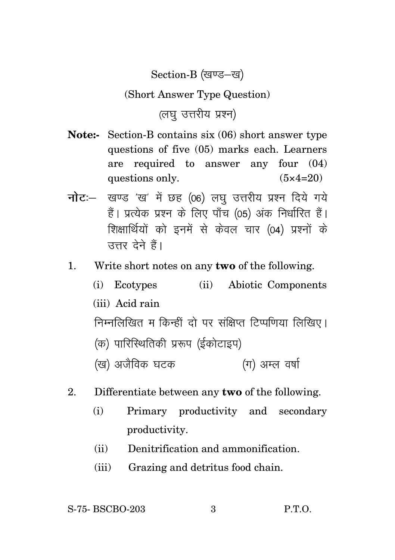Section-B (खण्ड-ख)

## (Short Answer Type Question)

(लघु उत्तरीय प्रश्न)

- **Note:-** Section-B contains six (06) short answer type questions of five (05) marks each. Learners are required to answer any four (04) questions only.  $(5 \times 4=20)$
- नोट :- खण्ड 'ख' में छह (06) लघु उत्तरीय प्रश्न दिये गये हैं। प्रत्येक प्रश्न के लिए पाँच (05) अंक निर्धारित हैं। शिक्षार्थियों को इनमें से केवल चार (04) प्रश्नों के उत्तर देने हैं।
- 1. Write short notes on any **two** of the following.
	- (i) Ecotypes (ii) Abiotic Components (iii) Acid rain निम्नलिखित म किन्हीं दो पर संक्षिप्त टिप्पणिया लिखिए। (क) पारिस्थितिकी प्ररूप (ईकोटाइप) (ग) अम्ल वर्षा (ख) अजैविक घटक
- 2. Differentiate between any **two** of the following.
	- (i) Primary productivity and secondary productivity.
	- (ii) Denitrification and ammonification.
	- (iii) Grazing and detritus food chain.